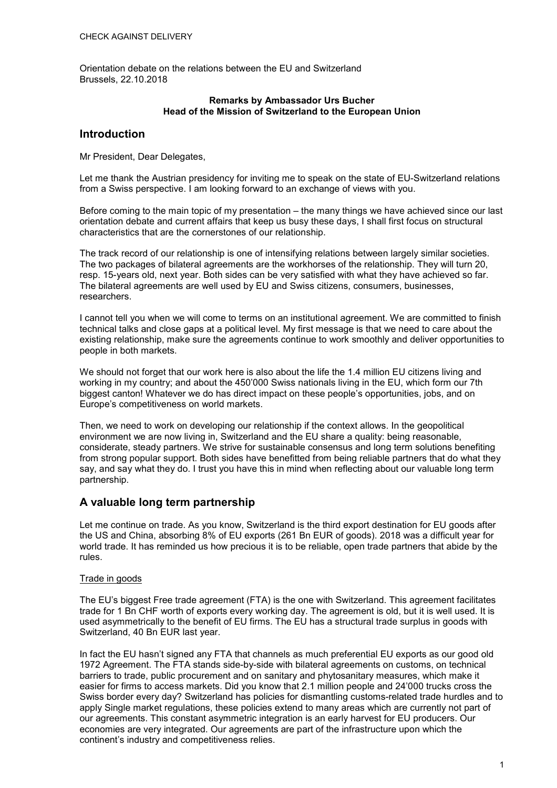Orientation debate on the relations between the EU and Switzerland Brussels, 22.10.2018

#### **Remarks by Ambassador Urs Bucher Head of the Mission of Switzerland to the European Union**

# **Introduction**

Mr President, Dear Delegates,

Let me thank the Austrian presidency for inviting me to speak on the state of EU-Switzerland relations from a Swiss perspective. I am looking forward to an exchange of views with you.

Before coming to the main topic of my presentation – the many things we have achieved since our last orientation debate and current affairs that keep us busy these days, I shall first focus on structural characteristics that are the cornerstones of our relationship.

The track record of our relationship is one of intensifying relations between largely similar societies. The two packages of bilateral agreements are the workhorses of the relationship. They will turn 20, resp. 15-years old, next year. Both sides can be very satisfied with what they have achieved so far. The bilateral agreements are well used by EU and Swiss citizens, consumers, businesses, researchers.

I cannot tell you when we will come to terms on an institutional agreement. We are committed to finish technical talks and close gaps at a political level. My first message is that we need to care about the existing relationship, make sure the agreements continue to work smoothly and deliver opportunities to people in both markets.

We should not forget that our work here is also about the life the 1.4 million EU citizens living and working in my country; and about the 450'000 Swiss nationals living in the EU, which form our 7th biggest canton! Whatever we do has direct impact on these people's opportunities, jobs, and on Europe's competitiveness on world markets.

Then, we need to work on developing our relationship if the context allows. In the geopolitical environment we are now living in, Switzerland and the EU share a quality: being reasonable, considerate, steady partners. We strive for sustainable consensus and long term solutions benefiting from strong popular support. Both sides have benefitted from being reliable partners that do what they say, and say what they do. I trust you have this in mind when reflecting about our valuable long term partnership.

# **A valuable long term partnership**

Let me continue on trade. As you know, Switzerland is the third export destination for EU goods after the US and China, absorbing 8% of EU exports (261 Bn EUR of goods). 2018 was a difficult year for world trade. It has reminded us how precious it is to be reliable, open trade partners that abide by the rules.

### Trade in goods

The EU's biggest Free trade agreement (FTA) is the one with Switzerland. This agreement facilitates trade for 1 Bn CHF worth of exports every working day. The agreement is old, but it is well used. It is used asymmetrically to the benefit of EU firms. The EU has a structural trade surplus in goods with Switzerland, 40 Bn EUR last year.

In fact the EU hasn't signed any FTA that channels as much preferential EU exports as our good old 1972 Agreement. The FTA stands side-by-side with bilateral agreements on customs, on technical barriers to trade, public procurement and on sanitary and phytosanitary measures, which make it easier for firms to access markets. Did you know that 2.1 million people and 24'000 trucks cross the Swiss border every day? Switzerland has policies for dismantling customs-related trade hurdles and to apply Single market regulations, these policies extend to many areas which are currently not part of our agreements. This constant asymmetric integration is an early harvest for EU producers. Our economies are very integrated. Our agreements are part of the infrastructure upon which the continent's industry and competitiveness relies.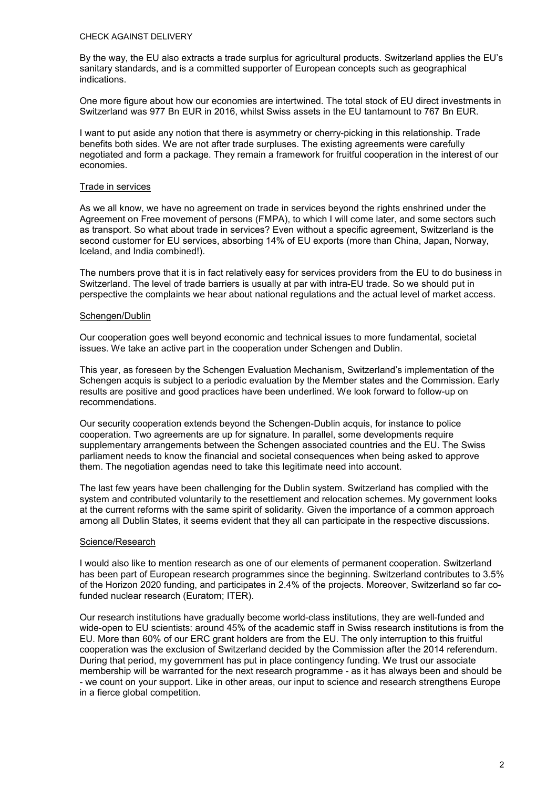#### CHECK AGAINST DELIVERY

By the way, the EU also extracts a trade surplus for agricultural products. Switzerland applies the EU's sanitary standards, and is a committed supporter of European concepts such as geographical indications.

One more figure about how our economies are intertwined. The total stock of EU direct investments in Switzerland was 977 Bn EUR in 2016, whilst Swiss assets in the EU tantamount to 767 Bn EUR.

I want to put aside any notion that there is asymmetry or cherry-picking in this relationship. Trade benefits both sides. We are not after trade surpluses. The existing agreements were carefully negotiated and form a package. They remain a framework for fruitful cooperation in the interest of our economies.

#### Trade in services

As we all know, we have no agreement on trade in services beyond the rights enshrined under the Agreement on Free movement of persons (FMPA), to which I will come later, and some sectors such as transport. So what about trade in services? Even without a specific agreement, Switzerland is the second customer for EU services, absorbing 14% of EU exports (more than China, Japan, Norway, Iceland, and India combined!).

The numbers prove that it is in fact relatively easy for services providers from the EU to do business in Switzerland. The level of trade barriers is usually at par with intra-EU trade. So we should put in perspective the complaints we hear about national regulations and the actual level of market access.

#### Schengen/Dublin

Our cooperation goes well beyond economic and technical issues to more fundamental, societal issues. We take an active part in the cooperation under Schengen and Dublin.

This year, as foreseen by the Schengen Evaluation Mechanism, Switzerland's implementation of the Schengen acquis is subject to a periodic evaluation by the Member states and the Commission. Early results are positive and good practices have been underlined. We look forward to follow-up on recommendations.

Our security cooperation extends beyond the Schengen-Dublin acquis, for instance to police cooperation. Two agreements are up for signature. In parallel, some developments require supplementary arrangements between the Schengen associated countries and the EU. The Swiss parliament needs to know the financial and societal consequences when being asked to approve them. The negotiation agendas need to take this legitimate need into account.

The last few years have been challenging for the Dublin system. Switzerland has complied with the system and contributed voluntarily to the resettlement and relocation schemes. My government looks at the current reforms with the same spirit of solidarity. Given the importance of a common approach among all Dublin States, it seems evident that they all can participate in the respective discussions.

### Science/Research

I would also like to mention research as one of our elements of permanent cooperation. Switzerland has been part of European research programmes since the beginning. Switzerland contributes to 3.5% of the Horizon 2020 funding, and participates in 2.4% of the projects. Moreover, Switzerland so far cofunded nuclear research (Euratom; ITER).

Our research institutions have gradually become world-class institutions, they are well-funded and wide-open to EU scientists: around 45% of the academic staff in Swiss research institutions is from the EU. More than 60% of our ERC grant holders are from the EU. The only interruption to this fruitful cooperation was the exclusion of Switzerland decided by the Commission after the 2014 referendum. During that period, my government has put in place contingency funding. We trust our associate membership will be warranted for the next research programme - as it has always been and should be - we count on your support. Like in other areas, our input to science and research strengthens Europe in a fierce global competition.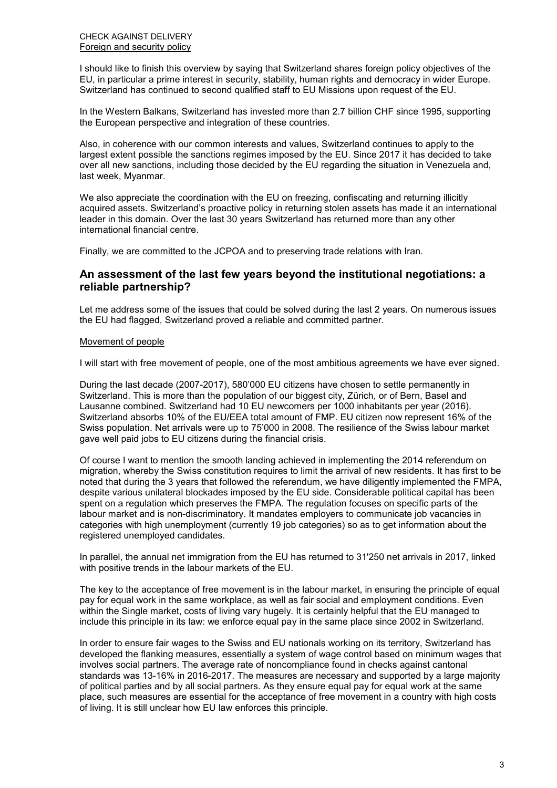I should like to finish this overview by saying that Switzerland shares foreign policy objectives of the EU, in particular a prime interest in security, stability, human rights and democracy in wider Europe. Switzerland has continued to second qualified staff to EU Missions upon request of the EU.

In the Western Balkans, Switzerland has invested more than 2.7 billion CHF since 1995, supporting the European perspective and integration of these countries.

Also, in coherence with our common interests and values, Switzerland continues to apply to the largest extent possible the sanctions regimes imposed by the EU. Since 2017 it has decided to take over all new sanctions, including those decided by the EU regarding the situation in Venezuela and, last week, Myanmar.

We also appreciate the coordination with the EU on freezing, confiscating and returning illicitly acquired assets. Switzerland's proactive policy in returning stolen assets has made it an international leader in this domain. Over the last 30 years Switzerland has returned more than any other international financial centre.

Finally, we are committed to the JCPOA and to preserving trade relations with Iran.

# **An assessment of the last few years beyond the institutional negotiations: a reliable partnership?**

Let me address some of the issues that could be solved during the last 2 years. On numerous issues the EU had flagged, Switzerland proved a reliable and committed partner.

### Movement of people

I will start with free movement of people, one of the most ambitious agreements we have ever signed.

During the last decade (2007-2017), 580'000 EU citizens have chosen to settle permanently in Switzerland. This is more than the population of our biggest city, Zürich, or of Bern, Basel and Lausanne combined. Switzerland had 10 EU newcomers per 1000 inhabitants per year (2016). Switzerland absorbs 10% of the EU/EEA total amount of FMP. EU citizen now represent 16% of the Swiss population. Net arrivals were up to 75'000 in 2008. The resilience of the Swiss labour market gave well paid jobs to EU citizens during the financial crisis.

Of course I want to mention the smooth landing achieved in implementing the 2014 referendum on migration, whereby the Swiss constitution requires to limit the arrival of new residents. It has first to be noted that during the 3 years that followed the referendum, we have diligently implemented the FMPA, despite various unilateral blockades imposed by the EU side. Considerable political capital has been spent on a regulation which preserves the FMPA. The regulation focuses on specific parts of the labour market and is non-discriminatory. It mandates employers to communicate job vacancies in categories with high unemployment (currently 19 job categories) so as to get information about the registered unemployed candidates.

In parallel, the annual net immigration from the EU has returned to 31'250 net arrivals in 2017, linked with positive trends in the labour markets of the EU.

The key to the acceptance of free movement is in the labour market, in ensuring the principle of equal pay for equal work in the same workplace, as well as fair social and employment conditions. Even within the Single market, costs of living vary hugely. It is certainly helpful that the EU managed to include this principle in its law: we enforce equal pay in the same place since 2002 in Switzerland.

In order to ensure fair wages to the Swiss and EU nationals working on its territory, Switzerland has developed the flanking measures, essentially a system of wage control based on minimum wages that involves social partners. The average rate of noncompliance found in checks against cantonal standards was 13-16% in 2016-2017. The measures are necessary and supported by a large majority of political parties and by all social partners. As they ensure equal pay for equal work at the same place, such measures are essential for the acceptance of free movement in a country with high costs of living. It is still unclear how EU law enforces this principle.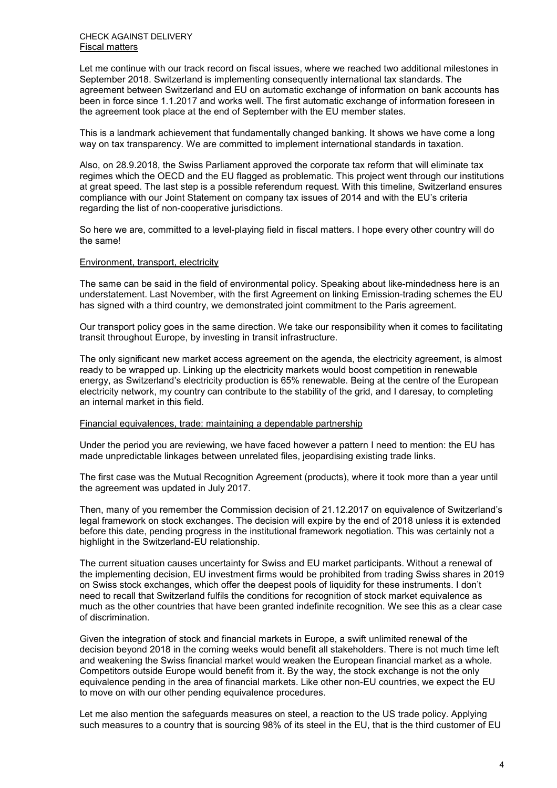Let me continue with our track record on fiscal issues, where we reached two additional milestones in September 2018. Switzerland is implementing consequently international tax standards. The agreement between Switzerland and EU on automatic exchange of information on bank accounts has been in force since 1.1.2017 and works well. The first automatic exchange of information foreseen in the agreement took place at the end of September with the EU member states.

This is a landmark achievement that fundamentally changed banking. It shows we have come a long way on tax transparency. We are committed to implement international standards in taxation.

Also, on 28.9.2018, the Swiss Parliament approved the corporate tax reform that will eliminate tax regimes which the OECD and the EU flagged as problematic. This project went through our institutions at great speed. The last step is a possible referendum request. With this timeline, Switzerland ensures compliance with our Joint Statement on company tax issues of 2014 and with the EU's criteria regarding the list of non-cooperative jurisdictions.

So here we are, committed to a level-playing field in fiscal matters. I hope every other country will do the same!

#### Environment, transport, electricity

The same can be said in the field of environmental policy. Speaking about like-mindedness here is an understatement. Last November, with the first Agreement on linking Emission-trading schemes the EU has signed with a third country, we demonstrated joint commitment to the Paris agreement.

Our transport policy goes in the same direction. We take our responsibility when it comes to facilitating transit throughout Europe, by investing in transit infrastructure.

The only significant new market access agreement on the agenda, the electricity agreement, is almost ready to be wrapped up. Linking up the electricity markets would boost competition in renewable energy, as Switzerland's electricity production is 65% renewable. Being at the centre of the European electricity network, my country can contribute to the stability of the grid, and I daresay, to completing an internal market in this field.

#### Financial equivalences, trade: maintaining a dependable partnership

Under the period you are reviewing, we have faced however a pattern I need to mention: the EU has made unpredictable linkages between unrelated files, jeopardising existing trade links.

The first case was the Mutual Recognition Agreement (products), where it took more than a year until the agreement was updated in July 2017.

Then, many of you remember the Commission decision of 21.12.2017 on equivalence of Switzerland's legal framework on stock exchanges. The decision will expire by the end of 2018 unless it is extended before this date, pending progress in the institutional framework negotiation. This was certainly not a highlight in the Switzerland-EU relationship.

The current situation causes uncertainty for Swiss and EU market participants. Without a renewal of the implementing decision, EU investment firms would be prohibited from trading Swiss shares in 2019 on Swiss stock exchanges, which offer the deepest pools of liquidity for these instruments. I don't need to recall that Switzerland fulfils the conditions for recognition of stock market equivalence as much as the other countries that have been granted indefinite recognition. We see this as a clear case of discrimination.

Given the integration of stock and financial markets in Europe, a swift unlimited renewal of the decision beyond 2018 in the coming weeks would benefit all stakeholders. There is not much time left and weakening the Swiss financial market would weaken the European financial market as a whole. Competitors outside Europe would benefit from it. By the way, the stock exchange is not the only equivalence pending in the area of financial markets. Like other non-EU countries, we expect the EU to move on with our other pending equivalence procedures.

Let me also mention the safeguards measures on steel, a reaction to the US trade policy. Applying such measures to a country that is sourcing 98% of its steel in the EU, that is the third customer of EU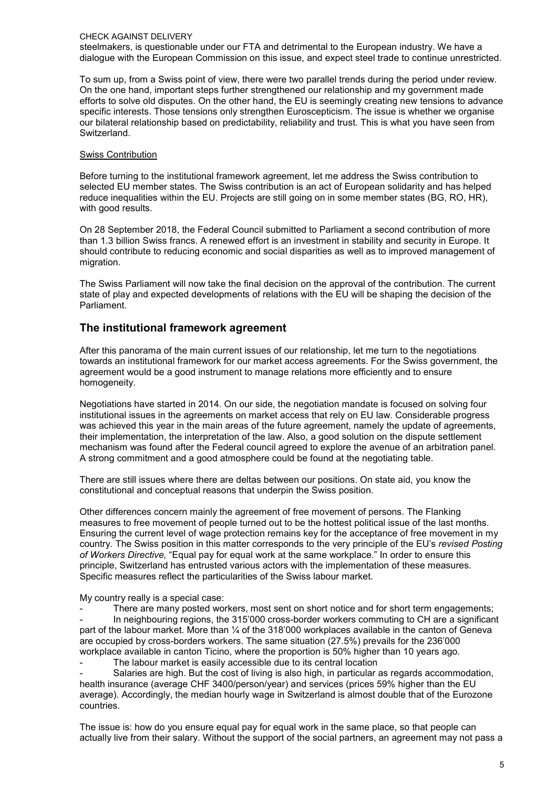#### CHECK AGAINST DELIVERY

steelmakers, is questionable under our FTA and detrimental to the European industry. We have a dialogue with the European Commission on this issue, and expect steel trade to continue unrestricted.

To sum up, from a Swiss point of view, there were two parallel trends during the period under review. On the one hand, important steps further strengthened our relationship and my government made efforts to solve old disputes. On the other hand, the EU is seemingly creating new tensions to advance specific interests. Those tensions only strengthen Euroscepticism. The issue is whether we organise our bilateral relationship based on predictability, reliability and trust. This is what you have seen from Switzerland.

### Swiss Contribution

Before turning to the institutional framework agreement, let me address the Swiss contribution to selected EU member states. The Swiss contribution is an act of European solidarity and has helped reduce inequalities within the EU. Projects are still going on in some member states (BG, RO, HR), with good results.

On 28 September 2018, the Federal Council submitted to Parliament a second contribution of more than 1.3 billion Swiss francs. A renewed effort is an investment in stability and security in Europe. It should contribute to reducing economic and social disparities as well as to improved management of migration.

The Swiss Parliament will now take the final decision on the approval of the contribution. The current state of play and expected developments of relations with the EU will be shaping the decision of the Parliament.

# **The institutional framework agreement**

After this panorama of the main current issues of our relationship, let me turn to the negotiations towards an institutional framework for our market access agreements. For the Swiss government, the agreement would be a good instrument to manage relations more efficiently and to ensure homogeneity.

Negotiations have started in 2014. On our side, the negotiation mandate is focused on solving four institutional issues in the agreements on market access that rely on EU law. Considerable progress was achieved this year in the main areas of the future agreement, namely the update of agreements, their implementation, the interpretation of the law. Also, a good solution on the dispute settlement mechanism was found after the Federal council agreed to explore the avenue of an arbitration panel. A strong commitment and a good atmosphere could be found at the negotiating table.

There are still issues where there are deltas between our positions. On state aid, you know the constitutional and conceptual reasons that underpin the Swiss position.

Other differences concern mainly the agreement of free movement of persons. The Flanking measures to free movement of people turned out to be the hottest political issue of the last months. Ensuring the current level of wage protection remains key for the acceptance of free movement in my country. The Swiss position in this matter corresponds to the very principle of the EU's *revised Posting of Workers Directive,* "Equal pay for equal work at the same workplace." In order to ensure this principle, Switzerland has entrusted various actors with the implementation of these measures. Specific measures reflect the particularities of the Swiss labour market.

My country really is a special case:

There are many posted workers, most sent on short notice and for short term engagements; In neighbouring regions, the 315'000 cross-border workers commuting to CH are a significant part of the labour market. More than ¼ of the 318'000 workplaces available in the canton of Geneva are occupied by cross-borders workers. The same situation (27.5%) prevails for the 236'000 workplace available in canton Ticino, where the proportion is 50% higher than 10 years ago.

The labour market is easily accessible due to its central location

Salaries are high. But the cost of living is also high, in particular as regards accommodation, health insurance (average CHF 3400/person/year) and services (prices 59% higher than the EU average). Accordingly, the median hourly wage in Switzerland is almost double that of the Eurozone countries.

The issue is: how do you ensure equal pay for equal work in the same place, so that people can actually live from their salary. Without the support of the social partners, an agreement may not pass a